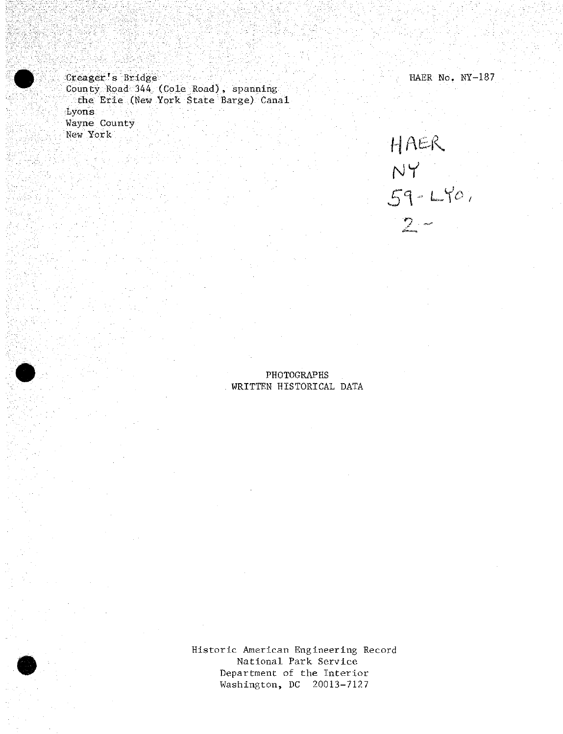Creager's Bridge The Mathematic Creager's Bridge The HAER No. NY-187 County Road 344 (Cole Road), spanning the Erie (New York State Barge) Canal Lyons Wayne County New York

HAER<br>NY<br>59-170,<br>2-

PHOTOGRAPHS WRITTEN HISTORICAL DATA

Historic American Engineering Record National Park Service Department of the Interior Washington, DC 20013-7127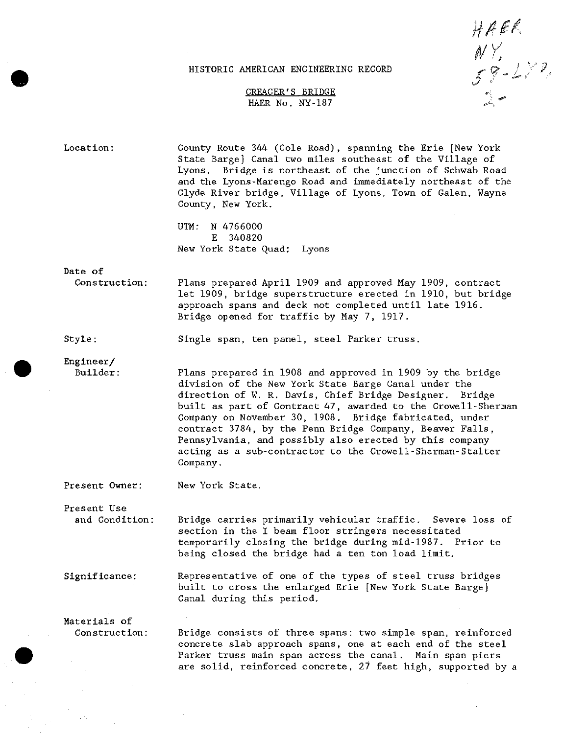## HISTORIC AMERICAN ENGINEERING RECORD

 $H A E K$ NY,<br>59-172

## CREAGER'S BRIDGE HAER No. NY-187

Location: County Route 344 (Cole Road), spanning the Erie [New York State Barge] Canal two miles southeast of the Village of Lyons. Bridge is northeast of the junction of Schwab Road and the Lyons-Marengo Road and immediately northeast of the Clyde River bridge, Village of Lyons, Town of Galen, Wayne County, New York.

> UTM: N 4766000 E 340820 New York State Quad; Lyons

Date of

Construction. Plans prepared April 1909 and approved May 1909, contract let 1909, bridge superstructure erected in 1910, but bridge approach spans and deck not completed until late 1916. Bridge opened for traffic by May 7, 1917.

Style: Single span, ten panel, steel Parker truss.

Engineer/ Builder:

Plans prepared in 1908 and approved in 1909 by the bridge division of the New York State Barge Canal under the direction of W. R. Davis, Chief Bridge Designer. Bridge built as part of Contract 47, awarded to the Crowell-Sherman Company on November 30, 1908. Bridge fabricated, under contract 3784, by the Penn Bridge Company, Beaver Falls, Pennsylvania, and possibly also erected by this company acting as a sub-contractor to the Crowell-Sherman-Stalter Company.

Present Owner: New York State.

Present Use

and Condition: Bridge carries primarily vehicular traffic. Severe loss of section in the <sup>I</sup> beam floor stringers necessitated temporarily closing the bridge during mid-1987. Prior to being closed the bridge had a ten ton load limit.

Significance: Representative of one of the types of steel truss bridges built to cross the enlarged Erie [New York State Barge] Canal during this period.

Materials of Construction: Bridge consists of three spans: two simple span, reinforced concrete slab approach spans, one at each end of the steel Parker truss main span across the canal. Main span piers are solid, reinforced concrete, 27 feet high, supported by a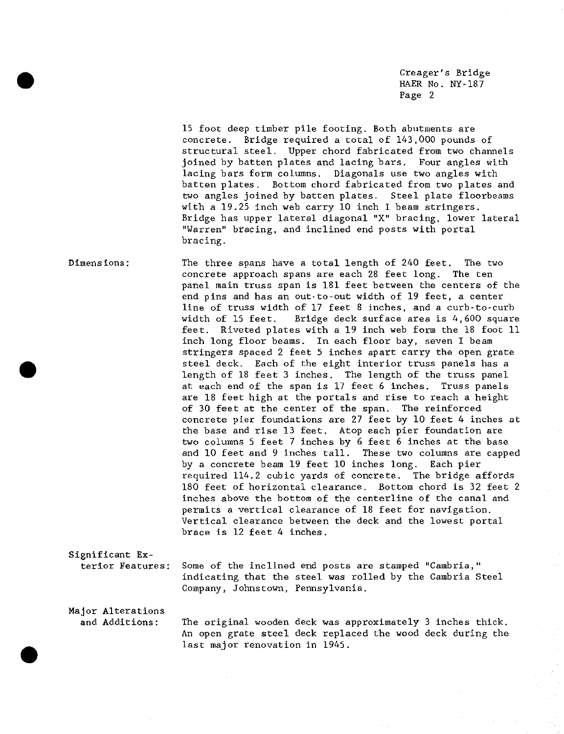Creager's Bridge HAER No. NY-187 Page <sup>2</sup>

15 foot deep timber pile footing. Both abutments are concrete. Bridge required a total of 143,000 pounds of structural steel. Upper chord fabricated from two channels joined by batten plates and lacing bars. Four angles with lacing bars form columns. Diagonals use two angles with batten plates. Bottom chord fabricated from two plates and two angles joined by batten plates. Steel plate floorbeams with a 19.25 inch web carry 10 inch I beam stringers. Bridge has upper lateral diagonal "X" bracing, lower lateral "Warren" bracing, and inclined end posts with portal bracing.

Dimensions: The three spans have a total length of 240 feet. The two concrete approach spans are each 28 feet long. The ten panel main truss span is 181 feet between the centers of the end pins and has an out-to-out width of 19 feet, a center line of truss width of 17 feet 8 inches, and a curb-to-curb width of 15 feet. Bridge deck surface area is 4,600 square feet. Riveted plates with a 19 inch web form the 18 foot 11 inch long floor beams. In each floor bay, seven I beam stringers spaced 2 feet 5 inches apart carry the open grate steel deck. Each of the eight interior truss panels has a length of 18 feet 3 inches. The length of the truss panel at each end of the span is 17 feet 6 inches. Truss panels are 18 feet high at the portals and rise to reach a height of 30 feet at the center of the span. The reinforced concrete pier foundations are 27 feet by 10 feet 4 inches at the base and rise 13 feet. Atop each pier foundation are two columns 5 feet 7 inches by 6 feet 6 inches at the base and 10 feet and <sup>9</sup> inches tall. These two columns are capped by a concrete beam 19 feet 10 inches long. Each pier required 114.2 cubic yards of concrete. The bridge affords 180 feet of horizontal clearance. Bottom chord is 32 feet 2 inches above the bottom of the centerline of the canal and permits a vertical clearance of 18 feet for navigation. Vertical clearance between the deck and the lowest portal brace is 12 feet 4 inches.

Significant Ex-

terior Features: Some of the inclined end posts are stamped "Cambria," indicating that the steel was rolled by the Cambria Steel Company, Johnstown, Pennsylvania.

Major Alterations

and Additions: The original wooden deck was approximately <sup>3</sup> inches thick. An open grate steel deck replaced the wood deck during the last major renovation in 1945.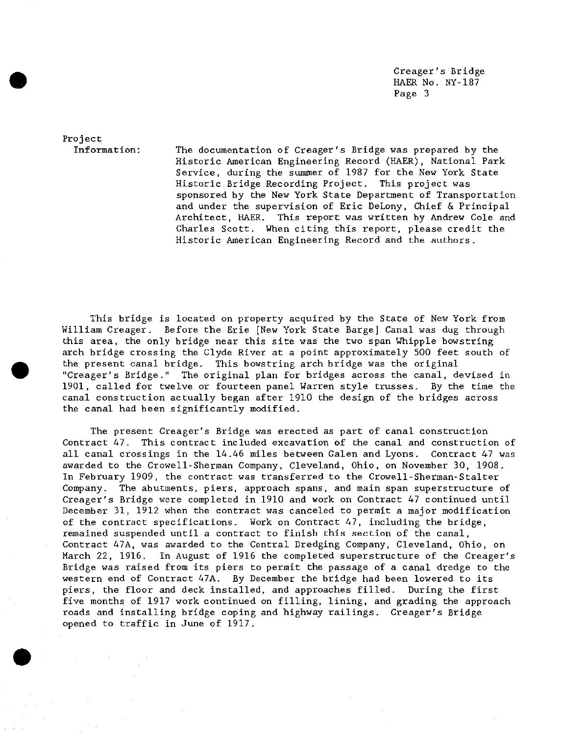Creager's Bridge HAER No. NY-187 Page 3

Project

Information: The documentation of Creager's Bridge was prepared by the Historic American Engineering Record (HAER), National Park Service, during the summer of 1987 for the New York State Historic Bridge Recording Project. This project was sponsored by the New York State Department of Transportation and under the supervision of Eric DeLony, Chief & Principal Architect, HAER. This report was written by Andrew Cole and Charles Scott. When citing this report, please credit the Historic American Engineering Record and the authors.

This bridge is located on property acquired by the State of New York from William Creager. Before the Erie [New York State Barge] Canal was dug through this area, the only bridge near this site was the two span Whipple bowstring arch bridge crossing the Clyde River at a point approximately 500 feet south of the present canal bridge. This bowstring arch bridge was the original "Creager's Bridge." The original plan for bridges across the canal, devised in 1901, called for twelve or fourteen panel Warren style trusses. By the time the canal construction actually began after 1910 the design of the bridges across the canal had been significantly modified.

The present Creager's Bridge was erected as part of canal construction Contract 47. This contract included excavation of the canal and construction of all canal crossings in the 14.46 miles between Galen and Lyons. Contract 47 was awarded to the Crowell-Sherman Company, Cleveland, Ohio, on November 30, 1908. In February 1909, the contract was transferred to the Crowell-Sherman-Stalter Company. The abutments, piers, approach spans, and main span superstructure of Creager's Bridge were completed in 1910 and work on Contract 47 continued until December 31, 1912 when the contract was canceled to permit a major modification of the contract specifications. Work on Contract 47, including the bridge, remained suspended until a contract to finish this section of the canal, Contract 47A, was awarded to the Central Dredging Company, Cleveland, Ohio, on March 22, 1916. In August of 1916 the completed superstructure of the Creager's Bridge was raised from its piers to permit the passage of a canal dredge to the western end of Contract 47A. By December the bridge had been lowered to its piers, the floor and deck installed, and approaches filled. During the first five months of 1917 work continued on filling, lining, and grading the approach roads and installing bridge coping and highway railings. Creager's Bridge opened to traffic in June of 1917.